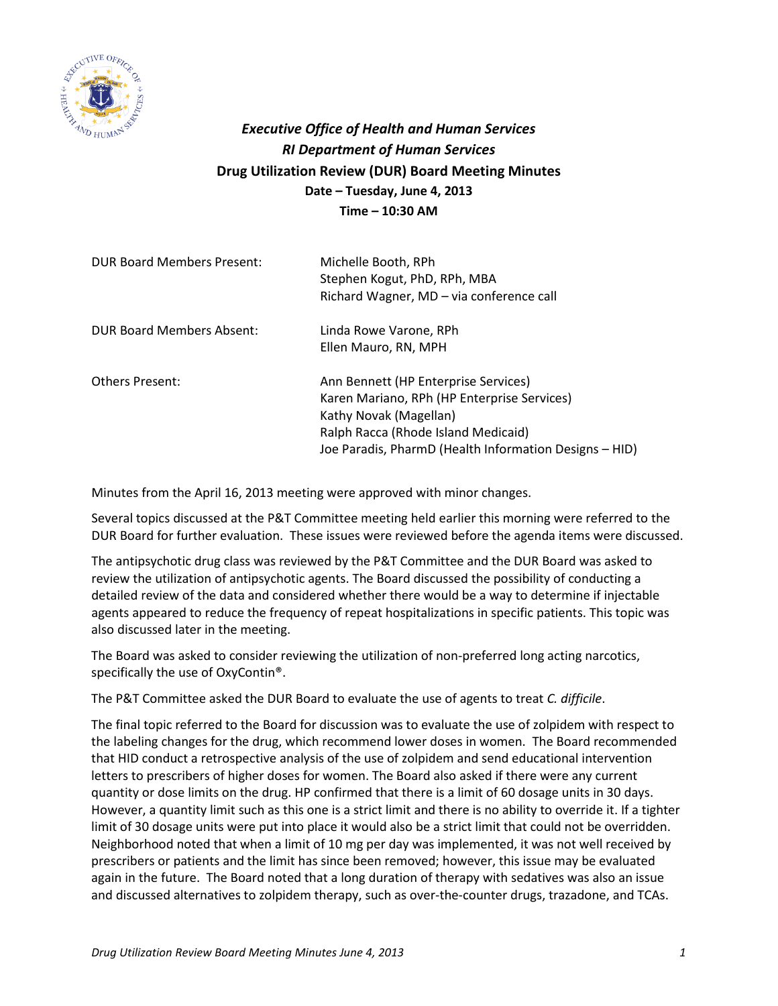

## *Executive Office of Health and Human Services RI Department of Human Services* **Drug Utilization Review (DUR) Board Meeting Minutes Date – Tuesday, June 4, 2013 Time – 10:30 AM**

| <b>DUR Board Members Present:</b> | Michelle Booth, RPh<br>Stephen Kogut, PhD, RPh, MBA<br>Richard Wagner, MD - via conference call                                                                                                                |
|-----------------------------------|----------------------------------------------------------------------------------------------------------------------------------------------------------------------------------------------------------------|
| DUR Board Members Absent:         | Linda Rowe Varone, RPh<br>Ellen Mauro, RN, MPH                                                                                                                                                                 |
| <b>Others Present:</b>            | Ann Bennett (HP Enterprise Services)<br>Karen Mariano, RPh (HP Enterprise Services)<br>Kathy Novak (Magellan)<br>Ralph Racca (Rhode Island Medicaid)<br>Joe Paradis, PharmD (Health Information Designs - HID) |

Minutes from the April 16, 2013 meeting were approved with minor changes.

Several topics discussed at the P&T Committee meeting held earlier this morning were referred to the DUR Board for further evaluation. These issues were reviewed before the agenda items were discussed.

The antipsychotic drug class was reviewed by the P&T Committee and the DUR Board was asked to review the utilization of antipsychotic agents. The Board discussed the possibility of conducting a detailed review of the data and considered whether there would be a way to determine if injectable agents appeared to reduce the frequency of repeat hospitalizations in specific patients. This topic was also discussed later in the meeting.

The Board was asked to consider reviewing the utilization of non-preferred long acting narcotics, specifically the use of OxyContin®.

The P&T Committee asked the DUR Board to evaluate the use of agents to treat *C. difficile*.

The final topic referred to the Board for discussion was to evaluate the use of zolpidem with respect to the labeling changes for the drug, which recommend lower doses in women. The Board recommended that HID conduct a retrospective analysis of the use of zolpidem and send educational intervention letters to prescribers of higher doses for women. The Board also asked if there were any current quantity or dose limits on the drug. HP confirmed that there is a limit of 60 dosage units in 30 days. However, a quantity limit such as this one is a strict limit and there is no ability to override it. If a tighter limit of 30 dosage units were put into place it would also be a strict limit that could not be overridden. Neighborhood noted that when a limit of 10 mg per day was implemented, it was not well received by prescribers or patients and the limit has since been removed; however, this issue may be evaluated again in the future. The Board noted that a long duration of therapy with sedatives was also an issue and discussed alternatives to zolpidem therapy, such as over-the-counter drugs, trazadone, and TCAs.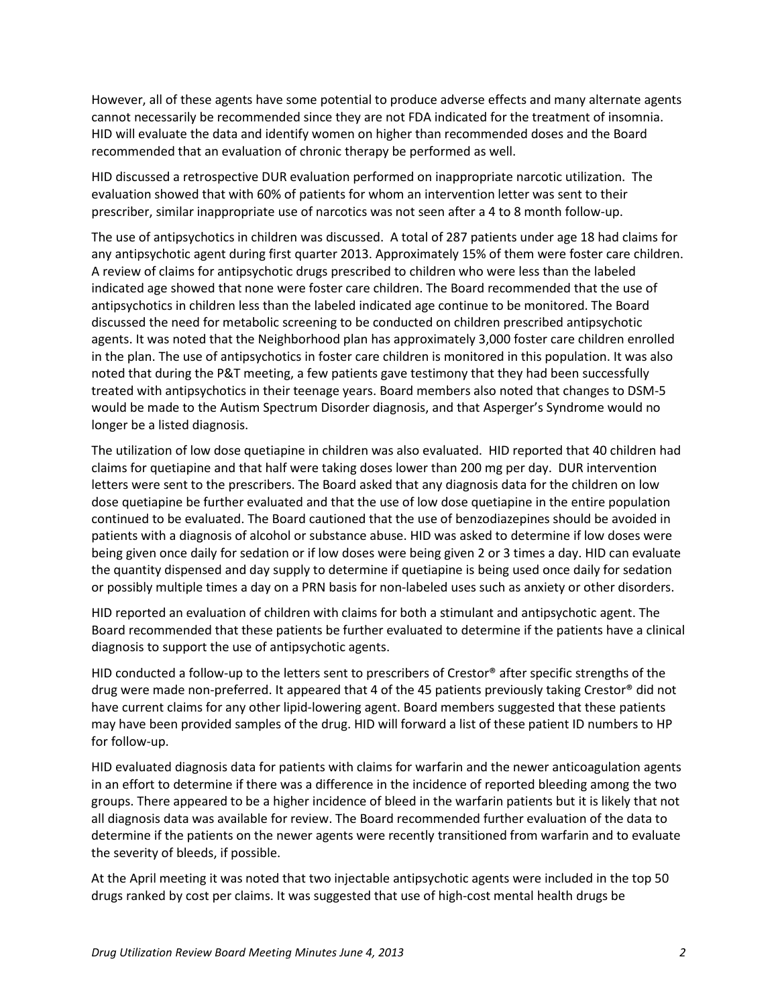However, all of these agents have some potential to produce adverse effects and many alternate agents cannot necessarily be recommended since they are not FDA indicated for the treatment of insomnia. HID will evaluate the data and identify women on higher than recommended doses and the Board recommended that an evaluation of chronic therapy be performed as well.

HID discussed a retrospective DUR evaluation performed on inappropriate narcotic utilization. The evaluation showed that with 60% of patients for whom an intervention letter was sent to their prescriber, similar inappropriate use of narcotics was not seen after a 4 to 8 month follow-up.

The use of antipsychotics in children was discussed. A total of 287 patients under age 18 had claims for any antipsychotic agent during first quarter 2013. Approximately 15% of them were foster care children. A review of claims for antipsychotic drugs prescribed to children who were less than the labeled indicated age showed that none were foster care children. The Board recommended that the use of antipsychotics in children less than the labeled indicated age continue to be monitored. The Board discussed the need for metabolic screening to be conducted on children prescribed antipsychotic agents. It was noted that the Neighborhood plan has approximately 3,000 foster care children enrolled in the plan. The use of antipsychotics in foster care children is monitored in this population. It was also noted that during the P&T meeting, a few patients gave testimony that they had been successfully treated with antipsychotics in their teenage years. Board members also noted that changes to DSM-5 would be made to the Autism Spectrum Disorder diagnosis, and that Asperger's Syndrome would no longer be a listed diagnosis.

The utilization of low dose quetiapine in children was also evaluated. HID reported that 40 children had claims for quetiapine and that half were taking doses lower than 200 mg per day. DUR intervention letters were sent to the prescribers. The Board asked that any diagnosis data for the children on low dose quetiapine be further evaluated and that the use of low dose quetiapine in the entire population continued to be evaluated. The Board cautioned that the use of benzodiazepines should be avoided in patients with a diagnosis of alcohol or substance abuse. HID was asked to determine if low doses were being given once daily for sedation or if low doses were being given 2 or 3 times a day. HID can evaluate the quantity dispensed and day supply to determine if quetiapine is being used once daily for sedation or possibly multiple times a day on a PRN basis for non-labeled uses such as anxiety or other disorders.

HID reported an evaluation of children with claims for both a stimulant and antipsychotic agent. The Board recommended that these patients be further evaluated to determine if the patients have a clinical diagnosis to support the use of antipsychotic agents.

HID conducted a follow-up to the letters sent to prescribers of Crestor® after specific strengths of the drug were made non-preferred. It appeared that 4 of the 45 patients previously taking Crestor® did not have current claims for any other lipid-lowering agent. Board members suggested that these patients may have been provided samples of the drug. HID will forward a list of these patient ID numbers to HP for follow-up.

HID evaluated diagnosis data for patients with claims for warfarin and the newer anticoagulation agents in an effort to determine if there was a difference in the incidence of reported bleeding among the two groups. There appeared to be a higher incidence of bleed in the warfarin patients but it is likely that not all diagnosis data was available for review. The Board recommended further evaluation of the data to determine if the patients on the newer agents were recently transitioned from warfarin and to evaluate the severity of bleeds, if possible.

At the April meeting it was noted that two injectable antipsychotic agents were included in the top 50 drugs ranked by cost per claims. It was suggested that use of high-cost mental health drugs be